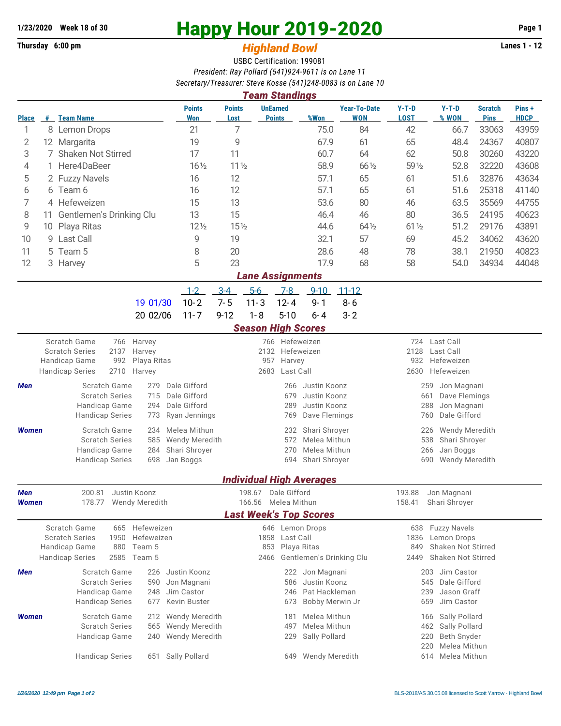## **Thursday 6:00 pm** *Highland Bowl*

## **1/23/2020** Week 18 of 30<br> **Happy Hour 2019-2020** Page 1<br> **Highland Rowl Lanes 1 - 12**<br>
Lanes 1 - 12

## USBC Certification: 199081 *President: Ray Pollard (541)924-9611 is on Lane 11 Secretary/Treasurer: Steve Kosse (541)248-0083 is on Lane 10*

| <b>Team Standings</b>                                                           |                                 |                                                 |                                            |                      |                                             |                                                      |                                  |                          |                                               |                                            |                      |                               |                      |  |  |  |
|---------------------------------------------------------------------------------|---------------------------------|-------------------------------------------------|--------------------------------------------|----------------------|---------------------------------------------|------------------------------------------------------|----------------------------------|--------------------------|-----------------------------------------------|--------------------------------------------|----------------------|-------------------------------|----------------------|--|--|--|
| <b>Place</b>                                                                    |                                 | # Team Name                                     |                                            | <b>Points</b><br>Won | <b>Points</b><br>Lost                       |                                                      | <b>UnEarned</b><br><b>Points</b> | %Won                     | <b>Year-To-Date</b><br><b>WON</b>             | $Y-T-D$<br><b>LOST</b>                     | $Y-T-D$<br>% WON     | <b>Scratch</b><br><b>Pins</b> | Pins+<br><b>HDCP</b> |  |  |  |
| 1                                                                               | 8                               | <b>Lemon Drops</b>                              |                                            | 21                   | 7                                           |                                                      |                                  | 75.0                     | 84                                            | 42                                         | 66.7                 | 33063                         | 43959                |  |  |  |
| 2                                                                               |                                 | 12 Margarita                                    |                                            | 19                   | 9                                           |                                                      |                                  | 67.9                     | 61                                            | 65                                         | 48.4                 | 24367                         | 40807                |  |  |  |
| 3                                                                               | 7                               | <b>Shaken Not Stirred</b>                       |                                            | 17                   | 11                                          |                                                      |                                  | 60.7                     | 64                                            | 62                                         | 50.8                 | 30260                         | 43220                |  |  |  |
| 4                                                                               |                                 | Here4DaBeer                                     |                                            | $16\frac{1}{2}$      | 11 <sub>2</sub>                             |                                                      |                                  | 58.9                     | 66 1/2                                        | 59 1/2                                     | 52.8                 | 32220                         | 43608                |  |  |  |
| 5                                                                               |                                 | 2 Fuzzy Navels                                  |                                            | 16                   | 12                                          |                                                      |                                  | 57.1                     | 65                                            | 61                                         | 51.6                 | 32876                         | 43634                |  |  |  |
| 6                                                                               |                                 | 6 Team 6<br>16                                  |                                            | 12                   |                                             | 57.1                                                 | 65                               | 61                       | 51.6                                          | 25318                                      | 41140                |                               |                      |  |  |  |
| 7                                                                               | 4 Hefeweizen                    |                                                 |                                            |                      | 13                                          |                                                      |                                  | 53.6                     | 80                                            | 46                                         | 63.5                 | 35569                         | 44755                |  |  |  |
| 8                                                                               | Gentlemen's Drinking Clu<br>11  |                                                 |                                            |                      | 15                                          |                                                      |                                  | 46.4                     | 46                                            | 80                                         | 36.5                 | 24195                         | 40623                |  |  |  |
| 9                                                                               | 10                              | Playa Ritas                                     |                                            | $12\frac{1}{2}$      | $15\frac{1}{2}$                             |                                                      |                                  | 44.6                     | 64 1/2                                        | $61\frac{1}{2}$                            | 51.2                 | 29176                         | 43891                |  |  |  |
| 10                                                                              |                                 | 9 Last Call                                     |                                            | 9                    | 19                                          |                                                      |                                  | 32.1                     | 57                                            | 69                                         | 45.2                 | 34062                         | 43620                |  |  |  |
| 11                                                                              |                                 | 5 Team 5                                        |                                            | 8                    | 20                                          |                                                      |                                  | 28.6                     | 48                                            | 78                                         | 38.1                 | 21950                         | 40823                |  |  |  |
| 12                                                                              |                                 | 3 Harvey                                        |                                            | 5                    | 23                                          |                                                      |                                  | 17.9                     | 68                                            | 58                                         | 54.0                 | 34934                         | 44048                |  |  |  |
| <b>Lane Assignments</b>                                                         |                                 |                                                 |                                            |                      |                                             |                                                      |                                  |                          |                                               |                                            |                      |                               |                      |  |  |  |
|                                                                                 |                                 |                                                 | $1 - 2$                                    | $3-4$                | $5-6$                                       | $7 - 8$                                              | $9 - 10$                         | $11 - 12$                |                                               |                                            |                      |                               |                      |  |  |  |
|                                                                                 |                                 |                                                 | 19 01/30                                   | $10 - 2$             | $7 - 5$                                     | $11 - 3$                                             | $12 - 4$                         | $9 - 1$                  | $8 - 6$                                       |                                            |                      |                               |                      |  |  |  |
|                                                                                 |                                 |                                                 | 20 02/06                                   | $11 - 7$             | $9 - 12$                                    | $1 - 8$                                              | $5 - 10$                         | $6 - 4$                  | $3 - 2$                                       |                                            |                      |                               |                      |  |  |  |
|                                                                                 |                                 |                                                 |                                            |                      |                                             |                                                      | <b>Season High Scores</b>        |                          |                                               |                                            |                      |                               |                      |  |  |  |
|                                                                                 |                                 | Scratch Game<br>766                             | Harvey                                     |                      |                                             |                                                      | 766 Hefeweizen                   |                          |                                               | 724                                        | Last Call            |                               |                      |  |  |  |
|                                                                                 |                                 | <b>Scratch Series</b><br>2137                   |                                            |                      | 2132                                        | Hefeweizen                                           |                                  |                          | 2128<br>Last Call                             |                                            |                      |                               |                      |  |  |  |
|                                                                                 |                                 | 992<br>Handicap Game                            | Playa Ritas                                |                      |                                             | 957<br>Harvey                                        |                                  |                          |                                               | Hefeweizen<br>932                          |                      |                               |                      |  |  |  |
|                                                                                 |                                 | <b>Handicap Series</b><br>2710                  | Harvey                                     |                      |                                             | 2683                                                 | Last Call                        |                          |                                               | 2630                                       | Hefeweizen           |                               |                      |  |  |  |
| Men                                                                             |                                 | Scratch Game                                    | Dale Gifford                               |                      |                                             | 266                                                  | Justin Koonz                     |                          | 259<br>Jon Magnani                            |                                            |                      |                               |                      |  |  |  |
|                                                                                 |                                 | <b>Scratch Series</b>                           | Dale Gifford                               |                      |                                             |                                                      | Justin Koonz                     |                          | 661<br>Dave Flemings                          |                                            |                      |                               |                      |  |  |  |
|                                                                                 |                                 | Handicap Game<br><b>Handicap Series</b>         | Dale Gifford<br>Ryan Jennings              |                      | 289<br>Justin Koonz<br>Dave Flemings<br>769 |                                                      |                                  |                          | 288<br>Jon Magnani<br>Dale Gifford<br>760     |                                            |                      |                               |                      |  |  |  |
|                                                                                 |                                 |                                                 |                                            |                      |                                             |                                                      |                                  |                          |                                               |                                            |                      |                               |                      |  |  |  |
| Women                                                                           |                                 | Scratch Game<br><b>Scratch Series</b>           | Melea Mithun<br>Wendy Meredith             |                      | Shari Shroyer<br>232<br>572<br>Melea Mithun |                                                      |                                  |                          | Wendy Meredith<br>226<br>538<br>Shari Shroyer |                                            |                      |                               |                      |  |  |  |
|                                                                                 |                                 | Handicap Game                                   | Shari Shroyer                              |                      |                                             | 270                                                  | Melea Mithun                     |                          | 266<br>Jan Boggs                              |                                            |                      |                               |                      |  |  |  |
|                                                                                 |                                 |                                                 | 698<br>Jan Boggs<br><b>Handicap Series</b> |                      |                                             | 694<br>Shari Shroyer                                 |                                  |                          |                                               | 690<br>Wendy Meredith                      |                      |                               |                      |  |  |  |
|                                                                                 |                                 |                                                 |                                            |                      |                                             |                                                      |                                  |                          |                                               |                                            |                      |                               |                      |  |  |  |
|                                                                                 | <b>Individual High Averages</b> |                                                 |                                            |                      |                                             |                                                      |                                  |                          |                                               |                                            |                      |                               |                      |  |  |  |
| Men<br><b>Women</b>                                                             |                                 | 200.81<br>Justin Koonz<br>178.77 Wendy Meredith |                                            |                      | 198.67                                      | Dale Gifford                                         |                                  |                          | 193.88<br>158.41                              | Jon Magnani<br>Shari Shroyer               |                      |                               |                      |  |  |  |
|                                                                                 |                                 |                                                 |                                            |                      |                                             | 166.56 Melea Mithun<br><b>Last Week's Top Scores</b> |                                  |                          |                                               |                                            |                      |                               |                      |  |  |  |
| Scratch Game<br>665 Hefeweizen<br><b>Fuzzy Navels</b><br>646 Lemon Drops<br>638 |                                 |                                                 |                                            |                      |                                             |                                                      |                                  |                          |                                               |                                            |                      |                               |                      |  |  |  |
|                                                                                 |                                 | <b>Scratch Series</b><br>1950                   |                                            |                      | 1858                                        | Last Call                                            |                                  |                          | 1836                                          | Lemon Drops                                |                      |                               |                      |  |  |  |
|                                                                                 |                                 | 880<br>Handicap Game                            |                                            |                      | 853                                         |                                                      | Playa Ritas                      |                          | Shaken Not Stirred<br>849                     |                                            |                      |                               |                      |  |  |  |
|                                                                                 |                                 | <b>Handicap Series</b>                          | 2585 Team 5                                |                      |                                             | 2466                                                 |                                  | Gentlemen's Drinking Clu |                                               | 2449                                       | Shaken Not Stirred   |                               |                      |  |  |  |
| Men                                                                             |                                 | Scratch Game                                    | 226                                        | Justin Koonz         |                                             |                                                      | 222                              | Jon Magnani              |                                               |                                            | Jim Castor<br>203    |                               |                      |  |  |  |
|                                                                                 |                                 | <b>Scratch Series</b>                           | 590                                        | Jon Magnani          |                                             |                                                      | 586                              | Justin Koonz             |                                               |                                            | 545<br>Dale Gifford  |                               |                      |  |  |  |
|                                                                                 |                                 | Handicap Game                                   | 248                                        | Jim Castor           |                                             |                                                      | 246                              | Pat Hackleman            |                                               |                                            | 239<br>Jason Graff   |                               |                      |  |  |  |
|                                                                                 |                                 | <b>Handicap Series</b>                          | 677                                        | Kevin Buster         |                                             |                                                      | 673                              | Bobby Merwin Jr          |                                               |                                            | Jim Castor<br>659    |                               |                      |  |  |  |
| <b>Women</b>                                                                    |                                 | Scratch Game                                    | 212<br>565                                 | Wendy Meredith       |                                             |                                                      | 181                              | Melea Mithun             |                                               |                                            | Sally Pollard<br>166 |                               |                      |  |  |  |
|                                                                                 |                                 | <b>Scratch Series</b>                           |                                            | Wendy Meredith       |                                             |                                                      | Melea Mithun<br>497<br>229       |                          |                                               | Sally Pollard<br>462<br>Beth Snyder<br>220 |                      |                               |                      |  |  |  |
|                                                                                 |                                 | Handicap Game                                   |                                            | Wendy Meredith       |                                             |                                                      | Sally Pollard                    |                          | 220                                           |                                            |                      |                               |                      |  |  |  |
|                                                                                 |                                 | <b>Handicap Series</b>                          | Sally Pollard                              |                      |                                             | 649                                                  | Wendy Meredith                   |                          | Melea Mithun<br>614 Melea Mithun              |                                            |                      |                               |                      |  |  |  |